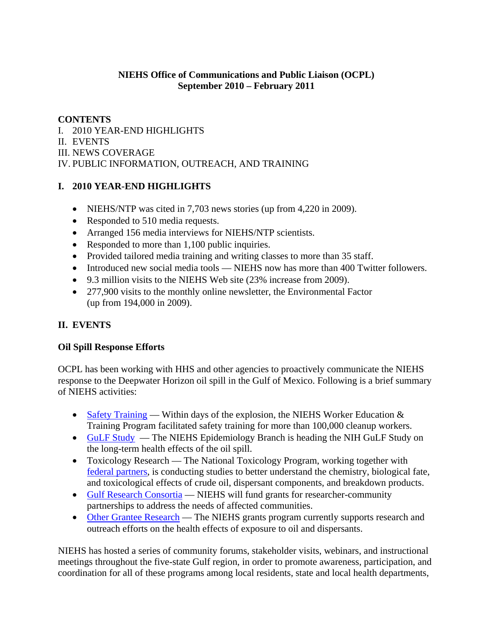## **NIEHS Office of Communications and Public Liaison (OCPL) September 2010 – February 2011**

# **CONTENTS**

I. 2010 YEAR-END HIGHLIGHTS II. EVENTS III. NEWS COVERAGE IV. PUBLIC INFORMATION, OUTREACH, AND TRAINING

# **I. 2010 YEAR-END HIGHLIGHTS**

- NIEHS/NTP was cited in 7,703 news stories (up from 4,220 in 2009).
- Responded to 510 media requests.
- Arranged 156 media interviews for NIEHS/NTP scientists.
- Responded to more than 1,100 public inquiries.
- Provided tailored media training and writing classes to more than 35 staff.
- Introduced new social media tools NIEHS now has more than 400 Twitter followers.
- 9.3 million visits to the NIEHS Web site (23% increase from 2009).
- 277,900 visits to the monthly online newsletter, the Environmental Factor (up from 194,000 in 2009).

# **II. EVENTS**

# **Oil Spill Response Efforts**

OCPL has been working with HHS and other agencies to proactively communicate the NIEHS response to the Deepwater Horizon oil spill in the Gulf of Mexico. Following is a brief summary of NIEHS activities:

- Safety Training Within days of the explosion, the NIEHS Worker Education  $\&$ Training Program facilitated safety training for more than 100,000 cleanup workers.
- GuLF Study The NIEHS Epidemiology Branch is heading the NIH GuLF Study on the long-term health effects of the oil spill.
- Toxicology Research The National Toxicology Program, working together with federal partners, is conducting studies to better understand the chemistry, biological fate, and toxicological effects of crude oil, dispersant components, and breakdown products.
- Gulf Research Consortia NIEHS will fund grants for researcher-community partnerships to address the needs of affected communities.
- Other Grantee Research The NIEHS grants program currently supports research and outreach efforts on the health effects of exposure to oil and dispersants.

NIEHS has hosted a series of community forums, stakeholder visits, webinars, and instructional meetings throughout the five-state Gulf region, in order to promote awareness, participation, and coordination for all of these programs among local residents, state and local health departments,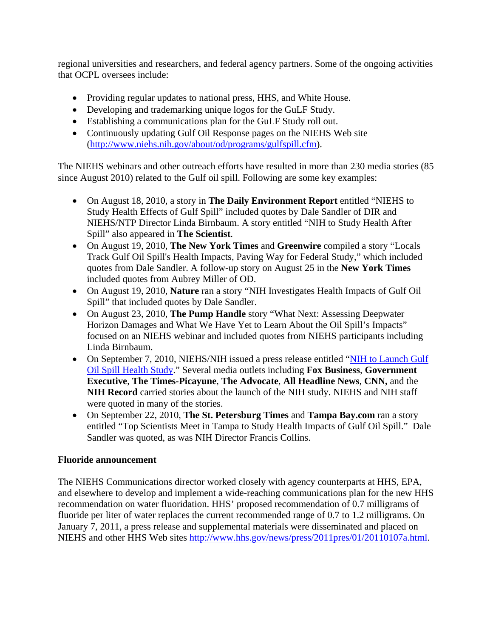regional universities and researchers, and federal agency partners. Some of the ongoing activities that OCPL oversees include:

- Providing regular updates to national press, HHS, and White House.
- Developing and trademarking unique logos for the GuLF Study.
- Establishing a communications plan for the GuLF Study roll out.
- Continuously updating Gulf Oil Response pages on the NIEHS Web site (http://www.niehs.nih.gov/about/od/programs/gulfspill.cfm).

The NIEHS webinars and other outreach efforts have resulted in more than 230 media stories (85 since August 2010) related to the Gulf oil spill. Following are some key examples:

- On August 18, 2010, a story in **The Daily Environment Report** entitled "NIEHS to Study Health Effects of Gulf Spill" included quotes by Dale Sandler of DIR and NIEHS/NTP Director Linda Birnbaum. A story entitled "NIH to Study Health After Spill" also appeared in **The Scientist**.
- On August 19, 2010, **The New York Times** and **Greenwire** compiled a story "Locals Track Gulf Oil Spill's Health Impacts, Paving Way for Federal Study," which included quotes from Dale Sandler. A follow-up story on August 25 in the **New York Times**  included quotes from Aubrey Miller of OD.
- On August 19, 2010, **Nature** ran a story "NIH Investigates Health Impacts of Gulf Oil Spill" that included quotes by Dale Sandler.
- On August 23, 2010, **The Pump Handle** story "What Next: Assessing Deepwater Horizon Damages and What We Have Yet to Learn About the Oil Spill's Impacts" focused on an NIEHS webinar and included quotes from NIEHS participants including Linda Birnbaum.
- On September 7, 2010, NIEHS/NIH issued a press release entitled "NIH to Launch Gulf Oil Spill Health Study." Several media outlets including **Fox Business**, **Government Executive**, **The Times-Picayune**, **The Advocate**, **All Headline News**, **CNN,** and the **NIH Record** carried stories about the launch of the NIH study. NIEHS and NIH staff were quoted in many of the stories.
- On September 22, 2010, **The St. Petersburg Times** and **Tampa Bay.com** ran a story entitled "Top Scientists Meet in Tampa to Study Health Impacts of Gulf Oil Spill." Dale Sandler was quoted, as was NIH Director Francis Collins.

### **Fluoride announcement**

The NIEHS Communications director worked closely with agency counterparts at HHS, EPA, and elsewhere to develop and implement a wide-reaching communications plan for the new HHS recommendation on water fluoridation. HHS' proposed recommendation of 0.7 milligrams of fluoride per liter of water replaces the current recommended range of 0.7 to 1.2 milligrams. On January 7, 2011, a press release and supplemental materials were disseminated and placed on NIEHS and other HHS Web sites http://www.hhs.gov/news/press/2011pres/01/20110107a.html.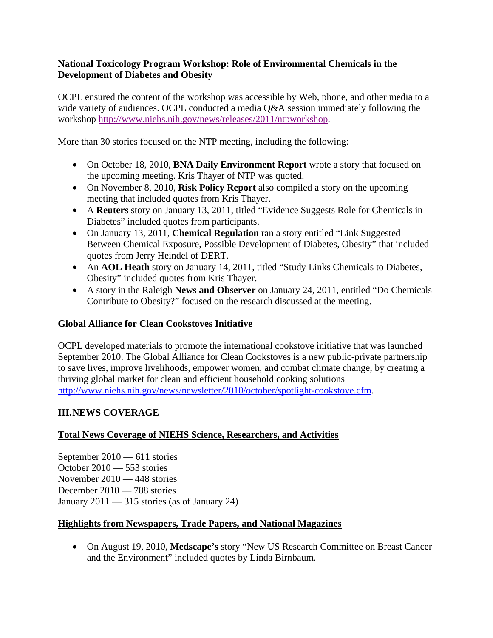## **National Toxicology Program Workshop: Role of Environmental Chemicals in the Development of Diabetes and Obesity**

OCPL ensured the content of the workshop was accessible by Web, phone, and other media to a wide variety of audiences. OCPL conducted a media  $O&A$  session immediately following the workshop http://www.niehs.nih.gov/news/releases/2011/ntpworkshop.

More than 30 stories focused on the NTP meeting, including the following:

- On October 18, 2010, **BNA Daily Environment Report** wrote a story that focused on the upcoming meeting. Kris Thayer of NTP was quoted.
- On November 8, 2010, **Risk Policy Report** also compiled a story on the upcoming meeting that included quotes from Kris Thayer.
- A **Reuters** story on January 13, 2011, titled "Evidence Suggests Role for Chemicals in Diabetes" included quotes from participants.
- On January 13, 2011, **Chemical Regulation** ran a story entitled "Link Suggested Between Chemical Exposure, Possible Development of Diabetes, Obesity" that included quotes from Jerry Heindel of DERT.
- An **AOL Heath** story on January 14, 2011, titled "Study Links Chemicals to Diabetes, Obesity" included quotes from Kris Thayer.
- A story in the Raleigh **News and Observer** on January 24, 2011, entitled "Do Chemicals Contribute to Obesity?" focused on the research discussed at the meeting.

## **Global Alliance for Clean Cookstoves Initiative**

OCPL developed materials to promote the international cookstove initiative that was launched September 2010. The Global Alliance for Clean Cookstoves is a new public-private partnership to save lives, improve livelihoods, empower women, and combat climate change, by creating a thriving global market for clean and efficient household cooking solutions http://www.niehs.nih.gov/news/newsletter/2010/october/spotlight-cookstove.cfm.

## **III. NEWS COVERAGE**

## **Total News Coverage of NIEHS Science, Researchers, and Activities**

September 2010 — 611 stories October 2010 — 553 stories November 2010 — 448 stories December 2010 — 788 stories January  $2011 - 315$  stories (as of January 24)

### **Highlights from Newspapers, Trade Papers, and National Magazines**

 On August 19, 2010, **Medscape's** story "New US Research Committee on Breast Cancer and the Environment" included quotes by Linda Birnbaum.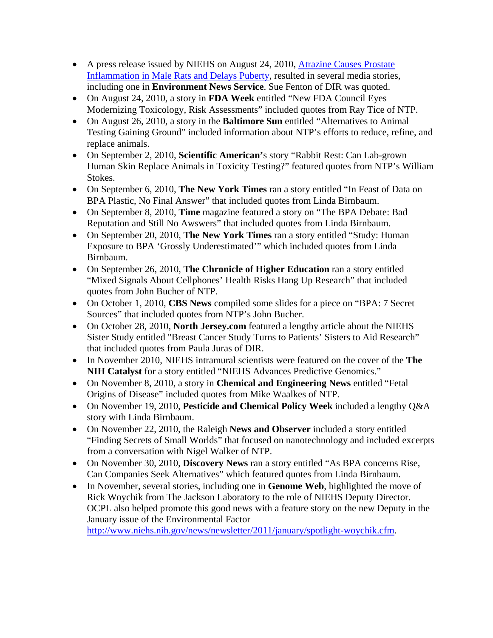- A press release issued by NIEHS on August 24, 2010, Atrazine Causes Prostate Inflammation in Male Rats and Delays Puberty, resulted in several media stories, including one in **Environment News Service**. Sue Fenton of DIR was quoted.
- On August 24, 2010, a story in **FDA Week** entitled "New FDA Council Eyes Modernizing Toxicology, Risk Assessments" included quotes from Ray Tice of NTP.
- On August 26, 2010, a story in the **Baltimore Sun** entitled "Alternatives to Animal Testing Gaining Ground" included information about NTP's efforts to reduce, refine, and replace animals.
- On September 2, 2010, **Scientific American'**s story "Rabbit Rest: Can Lab-grown Human Skin Replace Animals in Toxicity Testing?" featured quotes from NTP's William Stokes.
- On September 6, 2010, **The New York Times** ran a story entitled "In Feast of Data on BPA Plastic, No Final Answer" that included quotes from Linda Birnbaum.
- On September 8, 2010, **Time** magazine featured a story on "The BPA Debate: Bad Reputation and Still No Awswers" that included quotes from Linda Birnbaum.
- On September 20, 2010, **The New York Times** ran a story entitled "Study: Human Exposure to BPA 'Grossly Underestimated'" which included quotes from Linda Birnbaum.
- On September 26, 2010, **The Chronicle of Higher Education** ran a story entitled "Mixed Signals About Cellphones' Health Risks Hang Up Research" that included quotes from John Bucher of NTP.
- On October 1, 2010, **CBS News** compiled some slides for a piece on "BPA: 7 Secret Sources" that included quotes from NTP's John Bucher.
- On October 28, 2010, **North Jersey.com** featured a lengthy article about the NIEHS Sister Study entitled "Breast Cancer Study Turns to Patients' Sisters to Aid Research" that included quotes from Paula Juras of DIR.
- In November 2010, NIEHS intramural scientists were featured on the cover of the **The NIH Catalyst** for a story entitled "NIEHS Advances Predictive Genomics."
- On November 8, 2010, a story in **Chemical and Engineering News** entitled "Fetal Origins of Disease" included quotes from Mike Waalkes of NTP.
- On November 19, 2010, **Pesticide and Chemical Policy Week** included a lengthy Q&A story with Linda Birnbaum.
- On November 22, 2010, the Raleigh **News and Observer** included a story entitled "Finding Secrets of Small Worlds" that focused on nanotechnology and included excerpts from a conversation with Nigel Walker of NTP.
- On November 30, 2010, **Discovery News** ran a story entitled "As BPA concerns Rise, Can Companies Seek Alternatives" which featured quotes from Linda Birnbaum.
- In November, several stories, including one in **Genome Web**, highlighted the move of Rick Woychik from The Jackson Laboratory to the role of NIEHS Deputy Director. OCPL also helped promote this good news with a feature story on the new Deputy in the January issue of the Environmental Factor http://www.niehs.nih.gov/news/newsletter/2011/january/spotlight-woychik.cfm.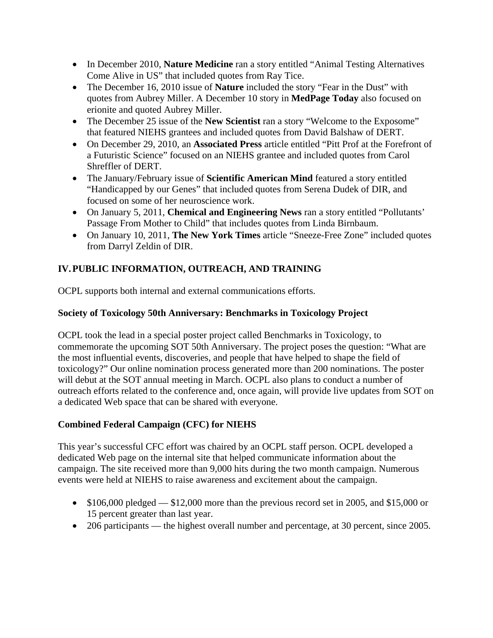- In December 2010, **Nature Medicine** ran a story entitled "Animal Testing Alternatives" Come Alive in US" that included quotes from Ray Tice.
- The December 16, 2010 issue of **Nature** included the story "Fear in the Dust" with quotes from Aubrey Miller. A December 10 story in **MedPage Today** also focused on erionite and quoted Aubrey Miller.
- The December 25 issue of the **New Scientist** ran a story "Welcome to the Exposome" that featured NIEHS grantees and included quotes from David Balshaw of DERT.
- On December 29, 2010, an **Associated Press** article entitled "Pitt Prof at the Forefront of a Futuristic Science" focused on an NIEHS grantee and included quotes from Carol Shreffler of DERT.
- The January/February issue of **Scientific American Mind** featured a story entitled "Handicapped by our Genes" that included quotes from Serena Dudek of DIR, and focused on some of her neuroscience work.
- On January 5, 2011, **Chemical and Engineering News** ran a story entitled "Pollutants' Passage From Mother to Child" that includes quotes from Linda Birnbaum.
- On January 10, 2011, **The New York Times** article "Sneeze-Free Zone" included quotes from Darryl Zeldin of DIR.

# **IV. PUBLIC INFORMATION, OUTREACH, AND TRAINING**

OCPL supports both internal and external communications efforts.

## **Society of Toxicology 50th Anniversary: Benchmarks in Toxicology Project**

OCPL took the lead in a special poster project called Benchmarks in Toxicology, to commemorate the upcoming SOT 50th Anniversary. The project poses the question: "What are the most influential events, discoveries, and people that have helped to shape the field of toxicology?" Our online nomination process generated more than 200 nominations. The poster will debut at the SOT annual meeting in March. OCPL also plans to conduct a number of outreach efforts related to the conference and, once again, will provide live updates from SOT on a dedicated Web space that can be shared with everyone.

# **Combined Federal Campaign (CFC) for NIEHS**

This year's successful CFC effort was chaired by an OCPL staff person. OCPL developed a dedicated Web page on the internal site that helped communicate information about the campaign. The site received more than 9,000 hits during the two month campaign. Numerous events were held at NIEHS to raise awareness and excitement about the campaign.

- $\bullet$  \$106,000 pledged  $-$  \$12,000 more than the previous record set in 2005, and \$15,000 or 15 percent greater than last year.
- 206 participants the highest overall number and percentage, at 30 percent, since 2005.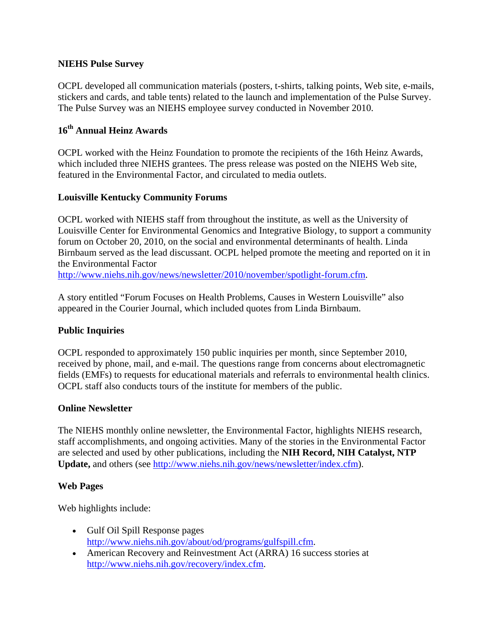## **NIEHS Pulse Survey**

OCPL developed all communication materials (posters, t-shirts, talking points, Web site, e-mails, stickers and cards, and table tents) related to the launch and implementation of the Pulse Survey. The Pulse Survey was an NIEHS employee survey conducted in November 2010.

# **16th Annual Heinz Awards**

OCPL worked with the Heinz Foundation to promote the recipients of the 16th Heinz Awards, which included three NIEHS grantees. The press release was posted on the NIEHS Web site, featured in the Environmental Factor, and circulated to media outlets.

## **Louisville Kentucky Community Forums**

OCPL worked with NIEHS staff from throughout the institute, as well as the University of Louisville Center for Environmental Genomics and Integrative Biology, to support a community forum on October 20, 2010, on the social and environmental determinants of health. Linda Birnbaum served as the lead discussant. OCPL helped promote the meeting and reported on it in the Environmental Factor

http://www.niehs.nih.gov/news/newsletter/2010/november/spotlight-forum.cfm.

A story entitled "Forum Focuses on Health Problems, Causes in Western Louisville" also appeared in the Courier Journal, which included quotes from Linda Birnbaum.

## **Public Inquiries**

OCPL responded to approximately 150 public inquiries per month, since September 2010, received by phone, mail, and e-mail. The questions range from concerns about electromagnetic fields (EMFs) to requests for educational materials and referrals to environmental health clinics. OCPL staff also conducts tours of the institute for members of the public.

### **Online Newsletter**

The NIEHS monthly online newsletter, the Environmental Factor, highlights NIEHS research, staff accomplishments, and ongoing activities. Many of the stories in the Environmental Factor are selected and used by other publications, including the **NIH Record, NIH Catalyst, NTP Update,** and others (see http://www.niehs.nih.gov/news/newsletter/index.cfm).

### **Web Pages**

Web highlights include:

- Gulf Oil Spill Response pages http://www.niehs.nih.gov/about/od/programs/gulfspill.cfm.
- American Recovery and Reinvestment Act (ARRA) 16 success stories at http://www.niehs.nih.gov/recovery/index.cfm.